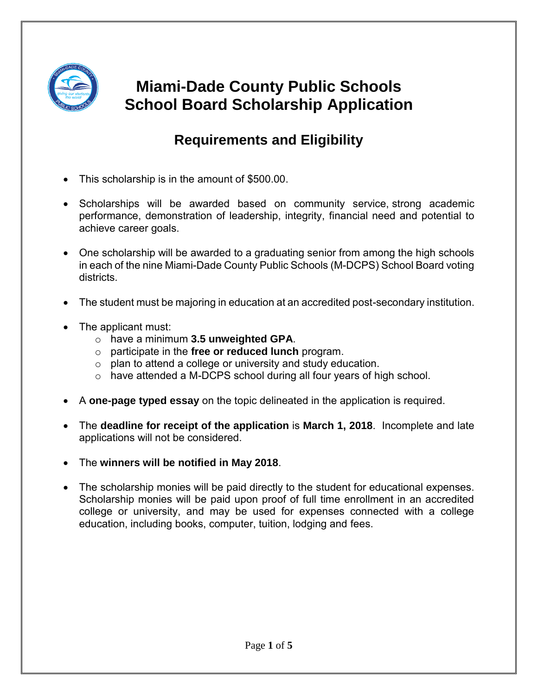

## **Miami-Dade County Public Schools School Board Scholarship Application**

### **Requirements and Eligibility**

- This scholarship is in the amount of \$500.00.
- Scholarships will be awarded based on community service, strong academic performance, demonstration of leadership, integrity, financial need and potential to achieve career goals.
- One scholarship will be awarded to a graduating senior from among the high schools in each of the nine Miami-Dade County Public Schools (M-DCPS) School Board voting districts.
- The student must be majoring in education at an accredited post-secondary institution.
- The applicant must:
	- o have a minimum **3.5 unweighted GPA**.
	- o participate in the **free or reduced lunch** program.
	- $\circ$  plan to attend a college or university and study education.
	- o have attended a M-DCPS school during all four years of high school.
- A **one-page typed essay** on the topic delineated in the application is required.
- The **deadline for receipt of the application** is **March 1, 2018**. Incomplete and late applications will not be considered.
- The **winners will be notified in May 2018**.
- The scholarship monies will be paid directly to the student for educational expenses. Scholarship monies will be paid upon proof of full time enrollment in an accredited college or university, and may be used for expenses connected with a college education, including books, computer, tuition, lodging and fees.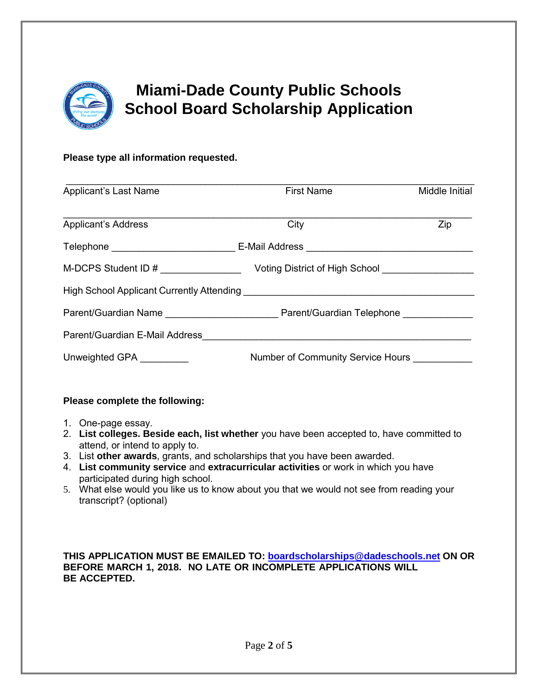

# **Miami-Dade County Public Schools School Board Scholarship Application**

#### **Please type all information requested.**

| <b>Applicant's Last Name</b> | <b>First Name</b>                                                                                                                                                                                                              | Middle Initial |
|------------------------------|--------------------------------------------------------------------------------------------------------------------------------------------------------------------------------------------------------------------------------|----------------|
|                              |                                                                                                                                                                                                                                |                |
| Applicant's Address          | City                                                                                                                                                                                                                           | Zip            |
|                              | Telephone __________________________________E-Mail Address ______________________                                                                                                                                              |                |
|                              |                                                                                                                                                                                                                                |                |
|                              | High School Applicant Currently Attending [19] [19] Decision of the School Applicant Current of Attendance Decision of the School Applicant Current of Attendance Decision of the School Applicant Current of Attendance Decis |                |
|                              |                                                                                                                                                                                                                                |                |
|                              |                                                                                                                                                                                                                                |                |
| Unweighted GPA               | Number of Community Service Hours                                                                                                                                                                                              |                |

#### **Please complete the following:**

- 1. One-page essay.
- 2. **List colleges. Beside each, list whether** you have been accepted to, have committed to attend, or intend to apply to.
- 3. List **other awards**, grants, and scholarships that you have been awarded.
- 4. **List community service** and **extracurricular activities** or work in which you have participated during high school.
- 5. What else would you like us to know about you that we would not see from reading your transcript? (optional)

**THIS APPLICATION MUST BE EMAILED TO: [boardscholarships@dadeschools.net](mailto:boardscholarships@dadeschools.net) ON OR BEFORE MARCH 1, 2018. NO LATE OR INCOMPLETE APPLICATIONS WILL BE ACCEPTED.**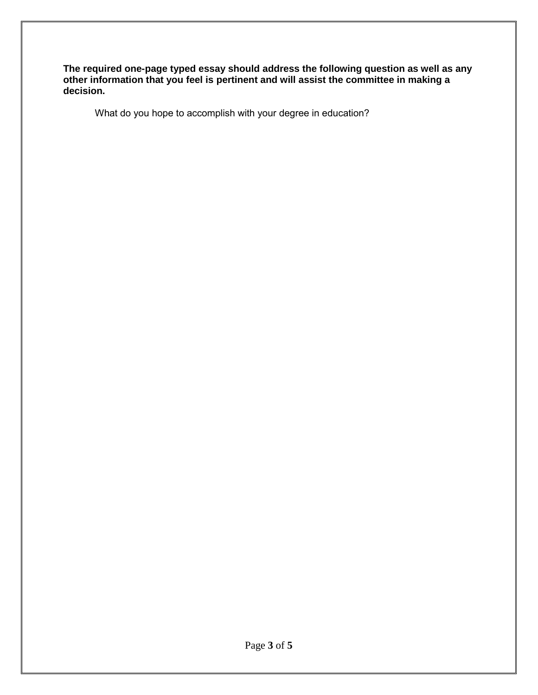**The required one-page typed essay should address the following question as well as any other information that you feel is pertinent and will assist the committee in making a decision.**

What do you hope to accomplish with your degree in education?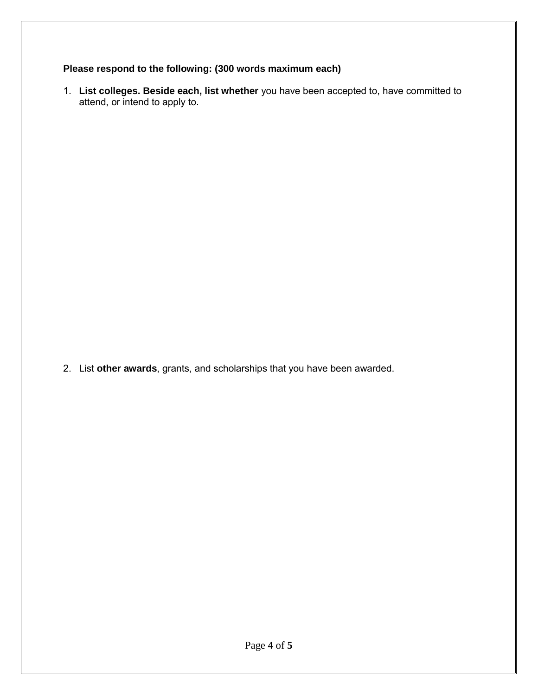#### **Please respond to the following: (300 words maximum each)**

1. **List colleges. Beside each, list whether** you have been accepted to, have committed to attend, or intend to apply to.

2. List **other awards**, grants, and scholarships that you have been awarded.